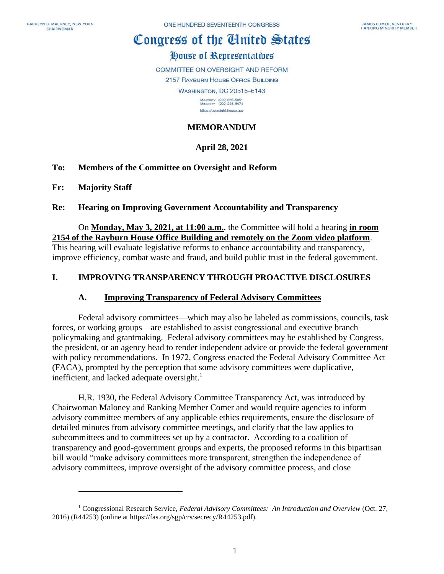# Congress of the Cinited States

# House of Representatives

COMMITTEE ON OVERSIGHT AND REFORM

2157 RAYBURN HOUSE OFFICE BUILDING

**WASHINGTON, DC 20515-6143** 

MAJORITY (202) 225-5051<br>MINORITY (202) 225-5074 https://oversight.house.gov

### **MEMORANDUM**

## **April 28, 2021**

#### **To: Members of the Committee on Oversight and Reform**

**Fr: Majority Staff**

#### **Re: Hearing on Improving Government Accountability and Transparency**

On **Monday, May 3, 2021, at 11:00 a.m.**, the Committee will hold a hearing **in room 2154 of the Rayburn House Office Building and remotely on the Zoom video platform**. This hearing will evaluate legislative reforms to enhance accountability and transparency, improve efficiency, combat waste and fraud, and build public trust in the federal government.

#### **I. IMPROVING TRANSPARENCY THROUGH PROACTIVE DISCLOSURES**

#### **A. Improving Transparency of Federal Advisory Committees**

Federal advisory committees—which may also be labeled as commissions, councils, task forces, or working groups—are established to assist congressional and executive branch policymaking and grantmaking. Federal advisory committees may be established by Congress, the president, or an agency head to render independent advice or provide the federal government with policy recommendations. In 1972, Congress enacted the Federal Advisory Committee Act (FACA), prompted by the perception that some advisory committees were duplicative, inefficient, and lacked adequate oversight. $<sup>1</sup>$ </sup>

H.R. 1930, the Federal Advisory Committee Transparency Act, was introduced by Chairwoman Maloney and Ranking Member Comer and would require agencies to inform advisory committee members of any applicable ethics requirements, ensure the disclosure of detailed minutes from advisory committee meetings, and clarify that the law applies to subcommittees and to committees set up by a contractor. According to a coalition of transparency and good-government groups and experts, the proposed reforms in this bipartisan bill would "make advisory committees more transparent, strengthen the independence of advisory committees, improve oversight of the advisory committee process, and close

<sup>1</sup> Congressional Research Service, *Federal Advisory Committees: An Introduction and Overview* (Oct. 27, 2016) (R44253) (online at https://fas.org/sgp/crs/secrecy/R44253.pdf).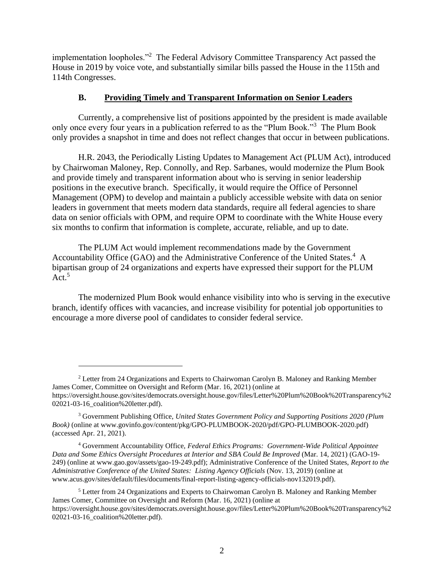implementation loopholes."<sup>2</sup> The Federal Advisory Committee Transparency Act passed the House in 2019 by voice vote, and substantially similar bills passed the House in the 115th and 114th Congresses.

#### **B. Providing Timely and Transparent Information on Senior Leaders**

Currently, a comprehensive list of positions appointed by the president is made available only once every four years in a publication referred to as the "Plum Book."<sup>3</sup> The Plum Book only provides a snapshot in time and does not reflect changes that occur in between publications.

H.R. 2043, the Periodically Listing Updates to Management Act (PLUM Act), introduced by Chairwoman Maloney, Rep. Connolly, and Rep. Sarbanes, would modernize the Plum Book and provide timely and transparent information about who is serving in senior leadership positions in the executive branch. Specifically, it would require the Office of Personnel Management (OPM) to develop and maintain a publicly accessible website with data on senior leaders in government that meets modern data standards, require all federal agencies to share data on senior officials with OPM, and require OPM to coordinate with the White House every six months to confirm that information is complete, accurate, reliable, and up to date.

The PLUM Act would implement recommendations made by the Government Accountability Office (GAO) and the Administrative Conference of the United States.<sup>4</sup> A bipartisan group of 24 organizations and experts have expressed their support for the PLUM  $Act.<sup>5</sup>$ 

The modernized Plum Book would enhance visibility into who is serving in the executive branch, identify offices with vacancies, and increase visibility for potential job opportunities to encourage a more diverse pool of candidates to consider federal service.

<sup>2</sup> Letter from 24 Organizations and Experts to Chairwoman Carolyn B. Maloney and Ranking Member James Comer, Committee on Oversight and Reform (Mar. 16, 2021) (online at https://oversight.house.gov/sites/democrats.oversight.house.gov/files/Letter%20Plum%20Book%20Transparency%2 02021-03-16\_coalition%20letter.pdf).

<sup>3</sup> Government Publishing Office, *United States Government Policy and Supporting Positions 2020 (Plum Book)* (online at www.govinfo.gov/content/pkg/GPO-PLUMBOOK-2020/pdf/GPO-PLUMBOOK-2020.pdf) (accessed Apr. 21, 2021).

<sup>4</sup> Government Accountability Office, *Federal Ethics Programs: Government-Wide Political Appointee Data and Some Ethics Oversight Procedures at Interior and SBA Could Be Improved* (Mar. 14, 2021) (GAO-19- 249) (online at www.gao.gov/assets/gao-19-249.pdf); Administrative Conference of the United States, *Report to the Administrative Conference of the United States: Listing Agency Officials* (Nov. 13, 2019) (online at www.acus.gov/sites/default/files/documents/final-report-listing-agency-officials-nov132019.pdf).

<sup>5</sup> Letter from 24 Organizations and Experts to Chairwoman Carolyn B. Maloney and Ranking Member James Comer, Committee on Oversight and Reform (Mar. 16, 2021) (online at https://oversight.house.gov/sites/democrats.oversight.house.gov/files/Letter%20Plum%20Book%20Transparency%2 02021-03-16\_coalition%20letter.pdf).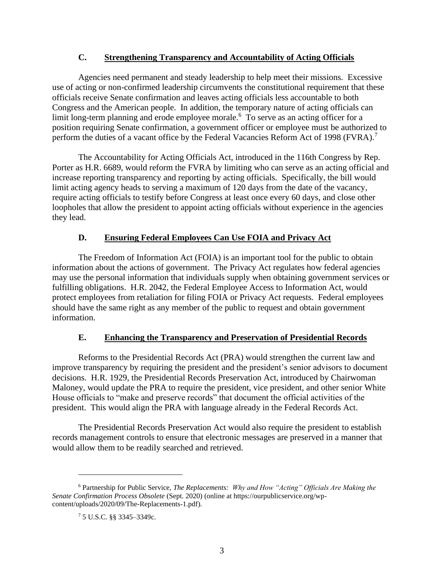#### **C. Strengthening Transparency and Accountability of Acting Officials**

Agencies need permanent and steady leadership to help meet their missions. Excessive use of acting or non-confirmed leadership circumvents the constitutional requirement that these officials receive Senate confirmation and leaves acting officials less accountable to both Congress and the American people. In addition, the temporary nature of acting officials can limit long-term planning and erode employee morale.<sup>6</sup> To serve as an acting officer for a position requiring Senate confirmation, a government officer or employee must be authorized to perform the duties of a vacant office by the Federal Vacancies Reform Act of 1998 (FVRA).<sup>7</sup>

The Accountability for Acting Officials Act, introduced in the 116th Congress by Rep. Porter as H.R. 6689, would reform the FVRA by limiting who can serve as an acting official and increase reporting transparency and reporting by acting officials. Specifically, the bill would limit acting agency heads to serving a maximum of 120 days from the date of the vacancy, require acting officials to testify before Congress at least once every 60 days, and close other loopholes that allow the president to appoint acting officials without experience in the agencies they lead.

#### **D. Ensuring Federal Employees Can Use FOIA and Privacy Act**

The Freedom of Information Act (FOIA) is an important tool for the public to obtain information about the actions of government. The Privacy Act regulates how federal agencies may use the personal information that individuals supply when obtaining government services or fulfilling obligations. H.R. 2042, the Federal Employee Access to Information Act, would protect employees from retaliation for filing FOIA or Privacy Act requests. Federal employees should have the same right as any member of the public to request and obtain government information.

#### **E. Enhancing the Transparency and Preservation of Presidential Records**

Reforms to the Presidential Records Act (PRA) would strengthen the current law and improve transparency by requiring the president and the president's senior advisors to document decisions. H.R. 1929, the Presidential Records Preservation Act, introduced by Chairwoman Maloney, would update the PRA to require the president, vice president, and other senior White House officials to "make and preserve records" that document the official activities of the president. This would align the PRA with language already in the Federal Records Act.

The Presidential Records Preservation Act would also require the president to establish records management controls to ensure that electronic messages are preserved in a manner that would allow them to be readily searched and retrieved.

<sup>6</sup> Partnership for Public Service, *The Replacements: Why and How "Acting" Officials Are Making the Senate Confirmation Process Obsolete* (Sept. 2020) (online at https://ourpublicservice.org/wpcontent/uploads/2020/09/The-Replacements-1.pdf).

<sup>7</sup> 5 U.S.C. §§ 3345–3349c.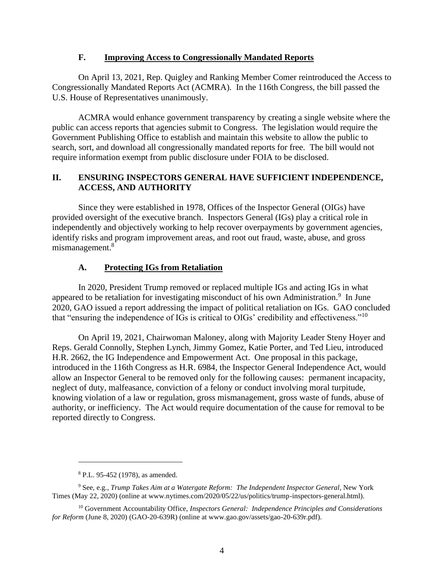#### **F. Improving Access to Congressionally Mandated Reports**

On April 13, 2021, Rep. Quigley and Ranking Member Comer reintroduced the Access to Congressionally Mandated Reports Act (ACMRA). In the 116th Congress, the bill passed the U.S. House of Representatives unanimously.

ACMRA would enhance government transparency by creating a single website where the public can access reports that agencies submit to Congress. The legislation would require the Government Publishing Office to establish and maintain this website to allow the public to search, sort, and download all congressionally mandated reports for free. The bill would not require information exempt from public disclosure under FOIA to be disclosed.

## **II. ENSURING INSPECTORS GENERAL HAVE SUFFICIENT INDEPENDENCE, ACCESS, AND AUTHORITY**

Since they were established in 1978, Offices of the Inspector General (OIGs) have provided oversight of the executive branch. Inspectors General (IGs) play a critical role in independently and objectively working to help recover overpayments by government agencies, identify risks and program improvement areas, and root out fraud, waste, abuse, and gross mismanagement.<sup>8</sup>

## **A. Protecting IGs from Retaliation**

In 2020, President Trump removed or replaced multiple IGs and acting IGs in what appeared to be retaliation for investigating misconduct of his own Administration.<sup>9</sup> In June 2020, GAO issued a report addressing the impact of political retaliation on IGs. GAO concluded that "ensuring the independence of IGs is critical to OIGs' credibility and effectiveness."<sup>10</sup>

On April 19, 2021, Chairwoman Maloney, along with Majority Leader Steny Hoyer and Reps. Gerald Connolly, Stephen Lynch, Jimmy Gomez, Katie Porter, and Ted Lieu, introduced H.R. 2662, the IG Independence and Empowerment Act. One proposal in this package, introduced in the 116th Congress as H.R. 6984, the Inspector General Independence Act, would allow an Inspector General to be removed only for the following causes: permanent incapacity, neglect of duty, malfeasance, conviction of a felony or conduct involving moral turpitude, knowing violation of a law or regulation, gross mismanagement, gross waste of funds, abuse of authority, or inefficiency. The Act would require documentation of the cause for removal to be reported directly to Congress.

<sup>8</sup> P.L. 95-452 (1978), as amended.

<sup>9</sup> See, e.g., *Trump Takes Aim at a Watergate Reform: The Independent Inspector General*, New York Times (May 22, 2020) (online at www.nytimes.com/2020/05/22/us/politics/trump-inspectors-general.html).

<sup>10</sup> Government Accountability Office, *Inspectors General: Independence Principles and Considerations for Reform* (June 8, 2020) (GAO-20-639R) (online at www.gao.gov/assets/gao-20-639r.pdf).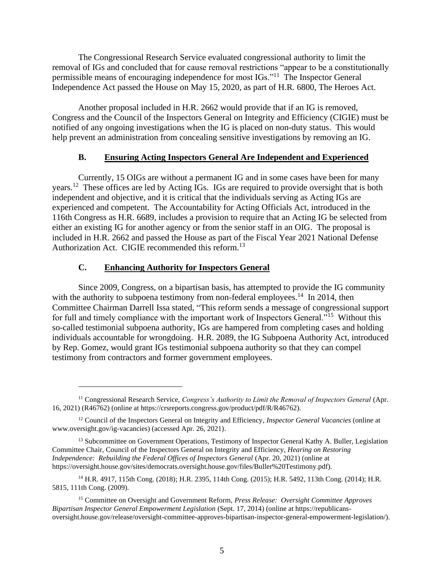The Congressional Research Service evaluated congressional authority to limit the removal of IGs and concluded that for cause removal restrictions "appear to be a constitutionally permissible means of encouraging independence for most IGs."<sup>11</sup> The Inspector General Independence Act passed the House on May 15, 2020, as part of H.R. 6800, The Heroes Act.

Another proposal included in H.R. 2662 would provide that if an IG is removed, Congress and the Council of the Inspectors General on Integrity and Efficiency (CIGIE) must be notified of any ongoing investigations when the IG is placed on non-duty status. This would help prevent an administration from concealing sensitive investigations by removing an IG.

#### **B. Ensuring Acting Inspectors General Are Independent and Experienced**

Currently, 15 OIGs are without a permanent IG and in some cases have been for many years.<sup>12</sup> These offices are led by Acting IGs. IGs are required to provide oversight that is both independent and objective, and it is critical that the individuals serving as Acting IGs are experienced and competent. The Accountability for Acting Officials Act, introduced in the 116th Congress as H.R. 6689, includes a provision to require that an Acting IG be selected from either an existing IG for another agency or from the senior staff in an OIG. The proposal is included in H.R. 2662 and passed the House as part of the Fiscal Year 2021 National Defense Authorization Act. CIGIE recommended this reform.<sup>13</sup>

#### **C. Enhancing Authority for Inspectors General**

Since 2009, Congress, on a bipartisan basis, has attempted to provide the IG community with the authority to subpoena testimony from non-federal employees.<sup>14</sup> In 2014, then Committee Chairman Darrell Issa stated, "This reform sends a message of congressional support for full and timely compliance with the important work of Inspectors General."<sup>15</sup> Without this so-called testimonial subpoena authority, IGs are hampered from completing cases and holding individuals accountable for wrongdoing. H.R. 2089, the IG Subpoena Authority Act, introduced by Rep. Gomez, would grant IGs testimonial subpoena authority so that they can compel testimony from contractors and former government employees.

<sup>&</sup>lt;sup>11</sup> Congressional Research Service, *Congress's Authority to Limit the Removal of Inspectors General (Apr.* 16, 2021) (R46762) (online at https://crsreports.congress.gov/product/pdf/R/R46762).

<sup>12</sup> Council of the Inspectors General on Integrity and Efficiency, *Inspector General Vacancies* (online at www.oversight.gov/ig-vacancies) (accessed Apr. 26, 2021).

<sup>&</sup>lt;sup>13</sup> Subcommittee on Government Operations, Testimony of Inspector General Kathy A. Buller, Legislation Committee Chair, Council of the Inspectors General on Integrity and Efficiency, *Hearing on Restoring Independence: Rebuilding the Federal Offices of Inspectors General* (Apr. 20, 2021) (online at https://oversight.house.gov/sites/democrats.oversight.house.gov/files/Buller%20Testimony.pdf).

<sup>14</sup> H.R. 4917, 115th Cong. (2018); H.R. 2395, 114th Cong. (2015); H.R. 5492, 113th Cong. (2014); H.R. 5815, 111th Cong. (2009).

<sup>15</sup> Committee on Oversight and Government Reform, *Press Release: Oversight Committee Approves Bipartisan Inspector General Empowerment Legislation* (Sept. 17, 2014) (online at https://republicansoversight.house.gov/release/oversight-committee-approves-bipartisan-inspector-general-empowerment-legislation/).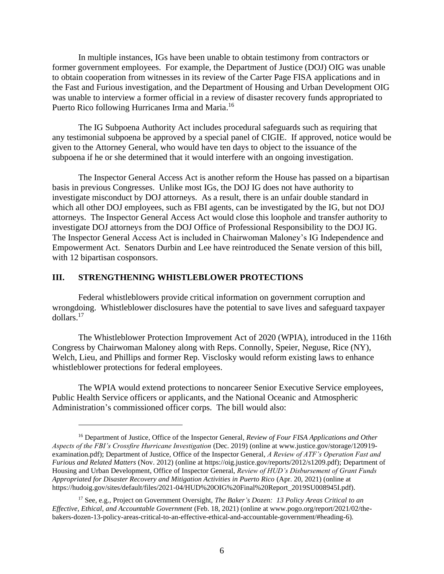In multiple instances, IGs have been unable to obtain testimony from contractors or former government employees. For example, the Department of Justice (DOJ) OIG was unable to obtain cooperation from witnesses in its review of the Carter Page FISA applications and in the Fast and Furious investigation, and the Department of Housing and Urban Development OIG was unable to interview a former official in a review of disaster recovery funds appropriated to Puerto Rico following Hurricanes Irma and Maria.<sup>16</sup>

The IG Subpoena Authority Act includes procedural safeguards such as requiring that any testimonial subpoena be approved by a special panel of CIGIE. If approved, notice would be given to the Attorney General, who would have ten days to object to the issuance of the subpoena if he or she determined that it would interfere with an ongoing investigation.

The Inspector General Access Act is another reform the House has passed on a bipartisan basis in previous Congresses. Unlike most IGs, the DOJ IG does not have authority to investigate misconduct by DOJ attorneys. As a result, there is an unfair double standard in which all other DOJ employees, such as FBI agents, can be investigated by the IG, but not DOJ attorneys. The Inspector General Access Act would close this loophole and transfer authority to investigate DOJ attorneys from the DOJ Office of Professional Responsibility to the DOJ IG. The Inspector General Access Act is included in Chairwoman Maloney's IG Independence and Empowerment Act. Senators Durbin and Lee have reintroduced the Senate version of this bill, with 12 bipartisan cosponsors.

#### **III. STRENGTHENING WHISTLEBLOWER PROTECTIONS**

Federal whistleblowers provide critical information on government corruption and wrongdoing. Whistleblower disclosures have the potential to save lives and safeguard taxpayer dollars.<sup>17</sup>

The Whistleblower Protection Improvement Act of 2020 (WPIA), introduced in the 116th Congress by Chairwoman Maloney along with Reps. Connolly, Speier, Neguse, Rice (NY), Welch, Lieu, and Phillips and former Rep. Visclosky would reform existing laws to enhance whistleblower protections for federal employees.

The WPIA would extend protections to noncareer Senior Executive Service employees, Public Health Service officers or applicants, and the National Oceanic and Atmospheric Administration's commissioned officer corps. The bill would also:

<sup>16</sup> Department of Justice, Office of the Inspector General, *Review of Four FISA Applications and Other Aspects of the FBI's Crossfire Hurricane Investigation* (Dec. 2019) (online at www.justice.gov/storage/120919 examination.pdf); Department of Justice, Office of the Inspector General, *A Review of ATF's Operation Fast and Furious and Related Matters* (Nov. 2012) (online at https://oig.justice.gov/reports/2012/s1209.pdf); Department of Housing and Urban Development, Office of Inspector General, *Review of HUD's Disbursement of Grant Funds Appropriated for Disaster Recovery and Mitigation Activities in Puerto Rico* (Apr. 20, 2021) (online at https://hudoig.gov/sites/default/files/2021-04/HUD%20OIG%20Final%20Report\_2019SU008945I.pdf).

<sup>17</sup> See, e.g., Project on Government Oversight, *The Baker's Dozen: 13 Policy Areas Critical to an Effective, Ethical, and Accountable Government* (Feb. 18, 2021) (online at www.pogo.org/report/2021/02/thebakers-dozen-13-policy-areas-critical-to-an-effective-ethical-and-accountable-government/#heading-6).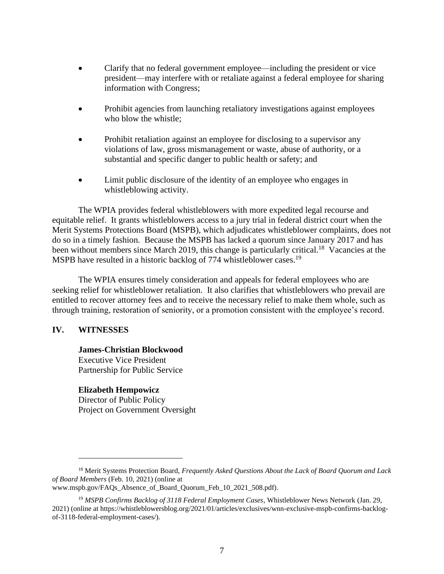- Clarify that no federal government employee—including the president or vice president—may interfere with or retaliate against a federal employee for sharing information with Congress;
- Prohibit agencies from launching retaliatory investigations against employees who blow the whistle;
- Prohibit retaliation against an employee for disclosing to a supervisor any violations of law, gross mismanagement or waste, abuse of authority, or a substantial and specific danger to public health or safety; and
- Limit public disclosure of the identity of an employee who engages in whistleblowing activity.

The WPIA provides federal whistleblowers with more expedited legal recourse and equitable relief. It grants whistleblowers access to a jury trial in federal district court when the Merit Systems Protections Board (MSPB), which adjudicates whistleblower complaints, does not do so in a timely fashion. Because the MSPB has lacked a quorum since January 2017 and has been without members since March 2019, this change is particularly critical.<sup>18</sup> Vacancies at the MSPB have resulted in a historic backlog of 774 whistleblower cases.<sup>19</sup>

The WPIA ensures timely consideration and appeals for federal employees who are seeking relief for whistleblower retaliation. It also clarifies that whistleblowers who prevail are entitled to recover attorney fees and to receive the necessary relief to make them whole, such as through training, restoration of seniority, or a promotion consistent with the employee's record.

#### **IV. WITNESSES**

**James-Christian Blockwood** Executive Vice President Partnership for Public Service

#### **Elizabeth Hempowicz**

Director of Public Policy Project on Government Oversight

<sup>18</sup> Merit Systems Protection Board, *Frequently Asked Questions About the Lack of Board Quorum and Lack of Board Members* (Feb. 10, 2021) (online at www.mspb.gov/FAQs Absence of Board Quorum Feb 10 2021 508.pdf).

<sup>19</sup> *MSPB Confirms Backlog of 3118 Federal Employment Cases*, Whistleblower News Network (Jan. 29, 2021) (online at https://whistleblowersblog.org/2021/01/articles/exclusives/wnn-exclusive-mspb-confirms-backlogof-3118-federal-employment-cases/).